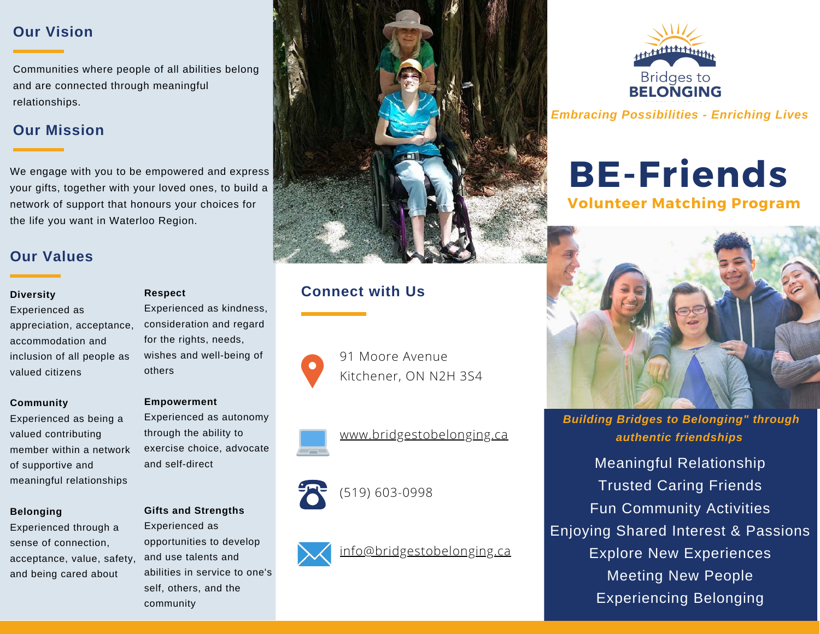### **Our Vision**

Communities where people of all abilities belong and are connected through meaningful relationships.

### **Our Mission**

We engage with you to be empowered and express your gifts, together with your loved ones, to build a network of support that honours your choices for the life you want in Waterloo Region.

### **Our Values**

Experienced as appreciation, acceptance, accommodation and inclusion of all people as valued citizens

### **Community**

Experienced as being a valued contributing member within a network of supportive and meaningful relationships

### **Belonging**

Experienced through a sense of connection, acceptance, value, safety, and being cared about

### **Respect**

Experienced as kindness, consideration and regard for the rights, needs, wishes and well-being of others

### **Empowerment**

Experienced as autonomy through the ability to exercise choice, advocate and self-direct

### **Gifts and Strengths**

Experienced as opportunities to develop and use talents and abilities in service to one's self, others, and the community



## **Diversity CONNECT Respect CONNECT WITH US**



91 Moore Avenue Kitchener, ON N2H 3S4





# (519) 603-0998





*Embracing Possibilities - Enriching Lives*

# **BE-Friends**

**Volunteer Matching Program**



*Building Bridges to Belonging" through authentic friendships*

Meaningful Relationship Trusted Caring Friends Fun Community Activities Enjoying Shared Interest & Passions Explore New Experiences Meeting New People Experiencing Belonging